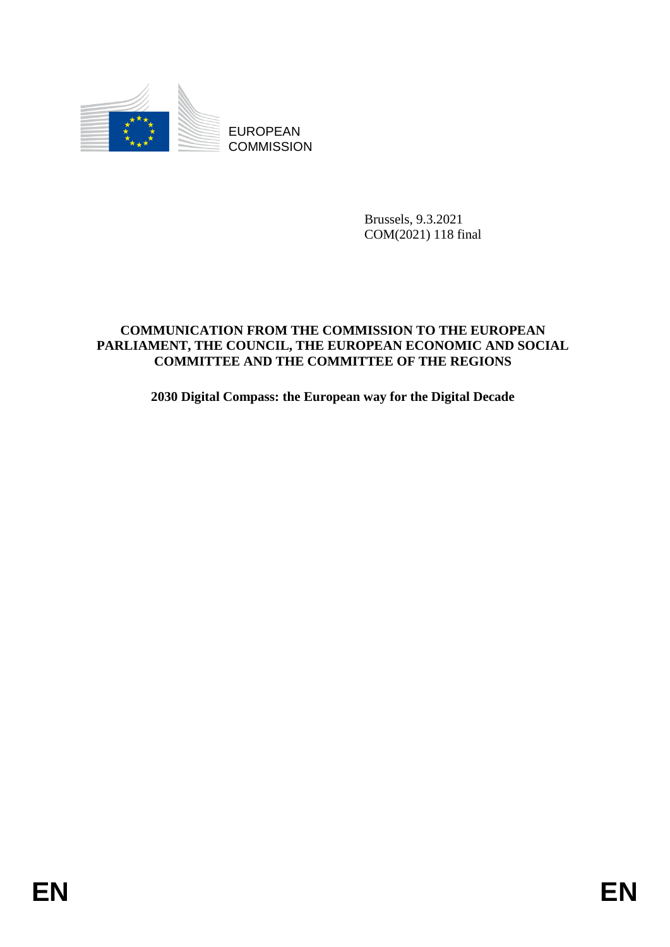

Brussels, 9.3.2021 COM(2021) 118 final

# EUROPEAN<br>
EUROPEAN<br>
ENGANGEREN<br>
COMMENCATION FROM THE COMMESSION TO THE EUROPEAN<br>
COMMENT THE COUNCIL, THE PURODESAN PCONDATE AND FOCULAR<br>
ENGLISHING THE CONDITIEE OF THE REGIONS<br>
2030 Digital Compass: the European way for **COMMUNICATION FROM THE COMMISSION TO THE EUROPEAN PARLIAMENT, THE COUNCIL, THE EUROPEAN ECONOMIC AND SOCIAL COMMITTEE AND THE COMMITTEE OF THE REGIONS**

**2030 Digital Compass: the European way for the Digital Decade**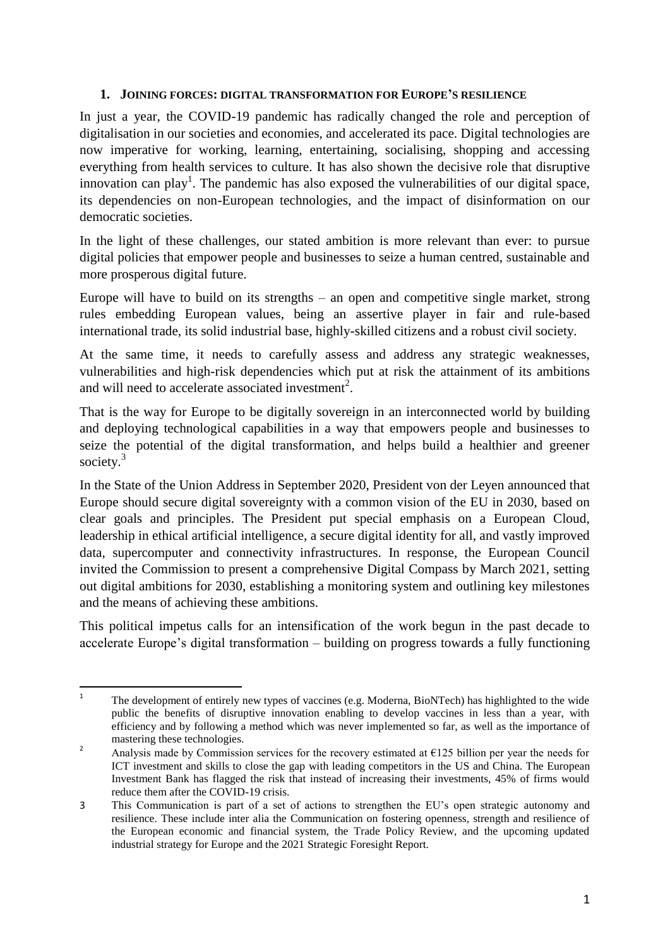#### **1. JOINING FORCES: DIGITAL TRANSFORMATION FOR EUROPE'S RESILIENCE**

In just a year, the COVID-19 pandemic has radically changed the role and perception of digitalisation in our societies and economies, and accelerated its pace. Digital technologies are now imperative for working, learning, entertaining, socialising, shopping and accessing everything from health services to culture. It has also shown the decisive role that disruptive innovation can play<sup>1</sup>. The pandemic has also exposed the vulnerabilities of our digital space, its dependencies on non-European technologies, and the impact of disinformation on our democratic societies.

In the light of these challenges, our stated ambition is more relevant than ever: to pursue digital policies that empower people and businesses to seize a human centred, sustainable and more prosperous digital future.

Europe will have to build on its strengths – an open and competitive single market, strong rules embedding European values, being an assertive player in fair and rule-based international trade, its solid industrial base, highly-skilled citizens and a robust civil society.

At the same time, it needs to carefully assess and address any strategic weaknesses, vulnerabilities and high-risk dependencies which put at risk the attainment of its ambitions and will need to accelerate associated investment<sup>2</sup>.

That is the way for Europe to be digitally sovereign in an interconnected world by building and deploying technological capabilities in a way that empowers people and businesses to seize the potential of the digital transformation, and helps build a healthier and greener society.<sup>3</sup>

In the State of the Union Address in September 2020, President von der Leyen announced that Europe should secure digital sovereignty with a common vision of the EU in 2030, based on clear goals and principles. The President put special emphasis on a European Cloud, leadership in ethical artificial intelligence, a secure digital identity for all, and vastly improved data, supercomputer and connectivity infrastructures. In response, the European Council invited the Commission to present a comprehensive Digital Compass by March 2021, setting out digital ambitions for 2030, establishing a monitoring system and outlining key milestones and the means of achieving these ambitions.

This political impetus calls for an intensification of the work begun in the past decade to accelerate Europe's digital transformation – building on progress towards a fully functioning

 $\frac{1}{1}$ The development of entirely new types of vaccines (e.g. Moderna, BioNTech) has highlighted to the wide public the benefits of disruptive innovation enabling to develop vaccines in less than a year, with efficiency and by following a method which was never implemented so far, as well as the importance of mastering these technologies.

<sup>2</sup> Analysis made by Commission services for the recovery estimated at  $\epsilon$ 125 billion per year the needs for ICT investment and skills to close the gap with leading competitors in the US and China. The European Investment Bank has flagged the risk that instead of increasing their investments, 45% of firms would reduce them after the COVID-19 crisis.

<sup>3</sup> This Communication is part of a set of actions to strengthen the EU's open strategic autonomy and resilience. These include inter alia the Communication on fostering openness, strength and resilience of the European economic and financial system, the Trade Policy Review, and the upcoming updated industrial strategy for Europe and the 2021 Strategic Foresight Report.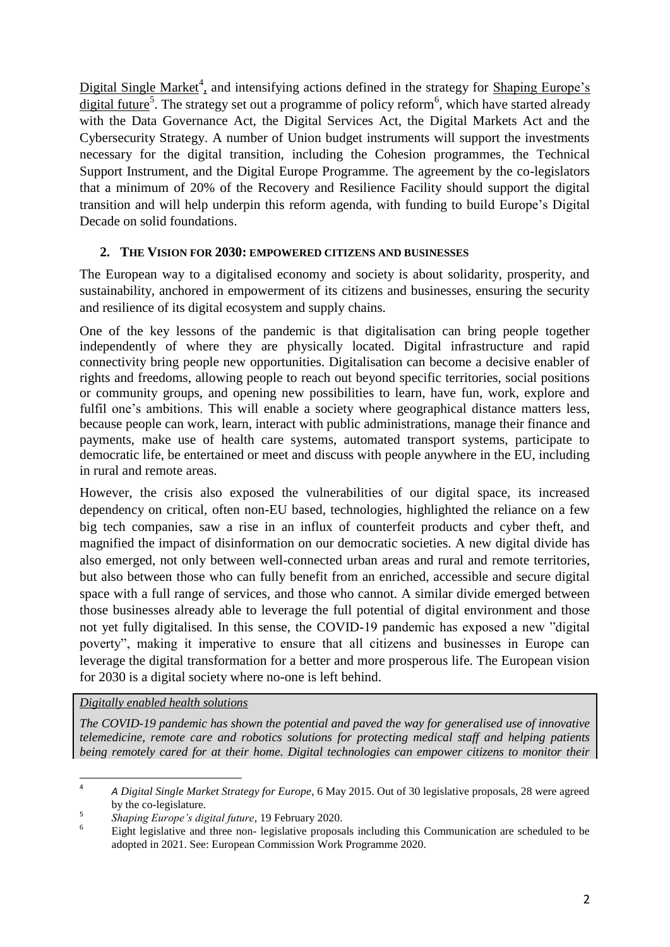Digital Single Market<sup>4</sup>, and intensifying actions defined in the strategy for Shaping Europe's digital future<sup>5</sup>. The strategy set out a programme of policy reform<sup>6</sup>, which have started already with the Data Governance Act, the Digital Services Act, the Digital Markets Act and the Cybersecurity Strategy. A number of Union budget instruments will support the investments necessary for the digital transition, including the Cohesion programmes, the Technical Support Instrument, and the Digital Europe Programme. The agreement by the co-legislators that a minimum of 20% of the Recovery and Resilience Facility should support the digital transition and will help underpin this reform agenda, with funding to build Europe's Digital Decade on solid foundations.

#### **2. THE VISION FOR 2030: EMPOWERED CITIZENS AND BUSINESSES**

The European way to a digitalised economy and society is about solidarity, prosperity, and sustainability, anchored in empowerment of its citizens and businesses, ensuring the security and resilience of its digital ecosystem and supply chains.

One of the key lessons of the pandemic is that digitalisation can bring people together independently of where they are physically located. Digital infrastructure and rapid connectivity bring people new opportunities. Digitalisation can become a decisive enabler of rights and freedoms, allowing people to reach out beyond specific territories, social positions or community groups, and opening new possibilities to learn, have fun, work, explore and fulfil one's ambitions. This will enable a society where geographical distance matters less, because people can work, learn, interact with public administrations, manage their finance and payments, make use of health care systems, automated transport systems, participate to democratic life, be entertained or meet and discuss with people anywhere in the EU, including in rural and remote areas.

However, the crisis also exposed the vulnerabilities of our digital space, its increased dependency on critical, often non-EU based, technologies, highlighted the reliance on a few big tech companies, saw a rise in an influx of counterfeit products and cyber theft, and magnified the impact of disinformation on our democratic societies. A new digital divide has also emerged, not only between well-connected urban areas and rural and remote territories, but also between those who can fully benefit from an enriched, accessible and secure digital space with a full range of services, and those who cannot. A similar divide emerged between those businesses already able to leverage the full potential of digital environment and those not yet fully digitalised. In this sense, the COVID-19 pandemic has exposed a new "digital poverty", making it imperative to ensure that all citizens and businesses in Europe can leverage the digital transformation for a better and more prosperous life. The European vision for 2030 is a digital society where no-one is left behind.

*Digitally enabled health solutions*

*The COVID-19 pandemic has shown the potential and paved the way for generalised use of innovative telemedicine, remote care and robotics solutions for protecting medical staff and helping patients being remotely cared for at their home. Digital technologies can empower citizens to monitor their* 

 $\frac{1}{4}$  *A Digital Single Market Strategy for Europe*, 6 May 2015. Out of 30 legislative proposals, 28 were agreed by the co-legislature.

<sup>5</sup> *Shaping Europe's digital future*, 19 February 2020.

Eight legislative and three non- legislative proposals including this Communication are scheduled to be adopted in 2021. See: European Commission Work Programme 2020.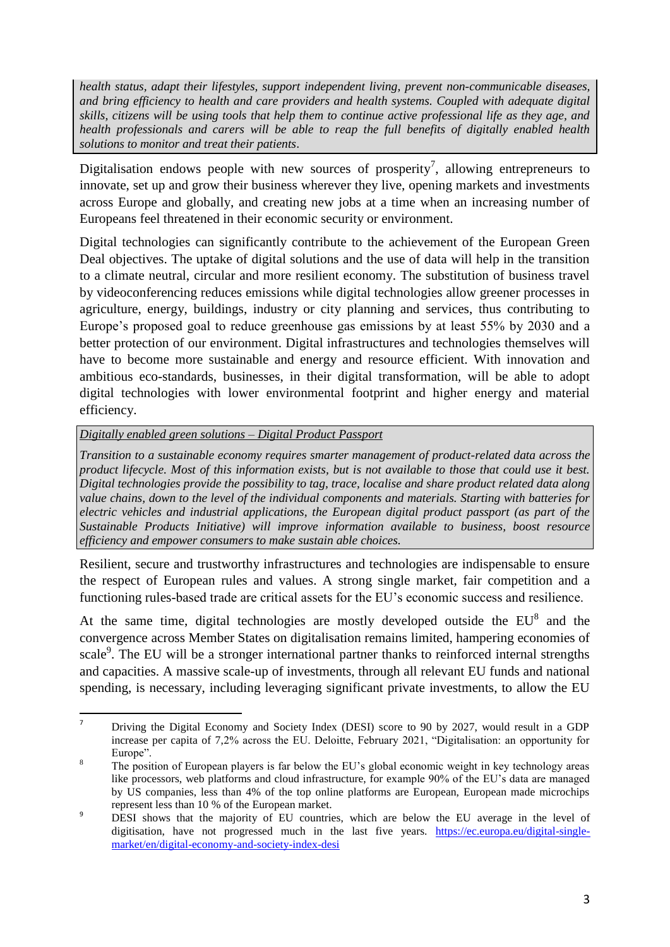*health status, adapt their lifestyles, support independent living, prevent non-communicable diseases, and bring efficiency to health and care providers and health systems. Coupled with adequate digital skills, citizens will be using tools that help them to continue active professional life as they age, and health professionals and carers will be able to reap the full benefits of digitally enabled health solutions to monitor and treat their patients*.

Digitalisation endows people with new sources of prosperity<sup>7</sup>, allowing entrepreneurs to innovate, set up and grow their business wherever they live, opening markets and investments across Europe and globally, and creating new jobs at a time when an increasing number of Europeans feel threatened in their economic security or environment.

Digital technologies can significantly contribute to the achievement of the European Green Deal objectives. The uptake of digital solutions and the use of data will help in the transition to a climate neutral, circular and more resilient economy. The substitution of business travel by videoconferencing reduces emissions while digital technologies allow greener processes in agriculture, energy, buildings, industry or city planning and services, thus contributing to Europe's proposed goal to reduce greenhouse gas emissions by at least 55% by 2030 and a better protection of our environment. Digital infrastructures and technologies themselves will have to become more sustainable and energy and resource efficient. With innovation and ambitious eco-standards, businesses, in their digital transformation, will be able to adopt digital technologies with lower environmental footprint and higher energy and material efficiency.

#### *Digitally enabled green solutions – Digital Product Passport*

*Transition to a sustainable economy requires smarter management of product-related data across the product lifecycle. Most of this information exists, but is not available to those that could use it best. Digital technologies provide the possibility to tag, trace, localise and share product related data along value chains, down to the level of the individual components and materials. Starting with batteries for electric vehicles and industrial applications, the European digital product passport (as part of the Sustainable Products Initiative) will improve information available to business, boost resource efficiency and empower consumers to make sustain able choices.*

Resilient, secure and trustworthy infrastructures and technologies are indispensable to ensure the respect of European rules and values. A strong single market, fair competition and a functioning rules-based trade are critical assets for the EU's economic success and resilience.

At the same time, digital technologies are mostly developed outside the  $EU^8$  and the convergence across Member States on digitalisation remains limited, hampering economies of scale<sup>9</sup>. The EU will be a stronger international partner thanks to reinforced internal strengths and capacities. A massive scale-up of investments, through all relevant EU funds and national spending, is necessary, including leveraging significant private investments, to allow the EU

 $\overline{7}$ <sup>7</sup> Driving the Digital Economy and Society Index (DESI) score to 90 by 2027, would result in a GDP increase per capita of 7,2% across the EU. Deloitte, February 2021, "Digitalisation: an opportunity for Europe".

The position of European players is far below the EU's global economic weight in key technology areas like processors, web platforms and cloud infrastructure, for example 90% of the EU's data are managed by US companies, less than 4% of the top online platforms are European, European made microchips represent less than 10 % of the European market.

<sup>&</sup>lt;sup>9</sup> DESI shows that the majority of EU countries, which are below the EU average in the level of digitisation, have not progressed much in the last five years. [https://ec.europa.eu/digital-single](https://ec.europa.eu/digital-single-market/en/digital-economy-and-society-index-desi)[market/en/digital-economy-and-society-index-desi](https://ec.europa.eu/digital-single-market/en/digital-economy-and-society-index-desi)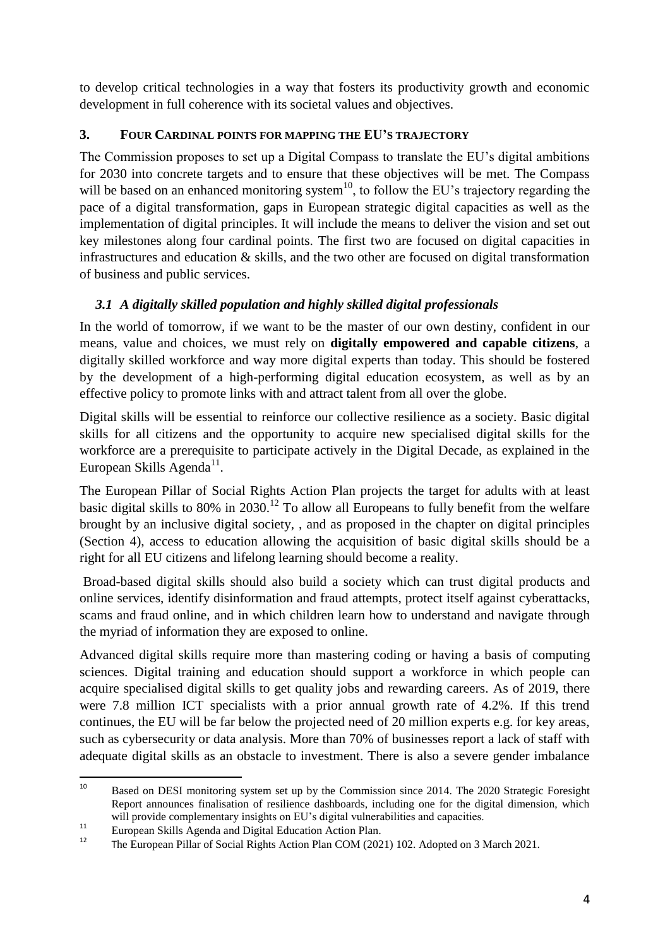to develop critical technologies in a way that fosters its productivity growth and economic development in full coherence with its societal values and objectives.

# **3. FOUR CARDINAL POINTS FOR MAPPING THE EU'S TRAJECTORY**

The Commission proposes to set up a Digital Compass to translate the EU's digital ambitions for 2030 into concrete targets and to ensure that these objectives will be met. The Compass will be based on an enhanced monitoring system<sup>10</sup>, to follow the EU's trajectory regarding the pace of a digital transformation, gaps in European strategic digital capacities as well as the implementation of digital principles. It will include the means to deliver the vision and set out key milestones along four cardinal points. The first two are focused on digital capacities in infrastructures and education & skills, and the two other are focused on digital transformation of business and public services.

# *3.1 A digitally skilled population and highly skilled digital professionals*

In the world of tomorrow, if we want to be the master of our own destiny, confident in our means, value and choices, we must rely on **digitally empowered and capable citizens**, a digitally skilled workforce and way more digital experts than today. This should be fostered by the development of a high-performing digital education ecosystem, as well as by an effective policy to promote links with and attract talent from all over the globe.

Digital skills will be essential to reinforce our collective resilience as a society. Basic digital skills for all citizens and the opportunity to acquire new specialised digital skills for the workforce are a prerequisite to participate actively in the Digital Decade, as explained in the European Skills Agenda<sup>11</sup>.

The European Pillar of Social Rights Action Plan projects the target for adults with at least basic digital skills to 80% in 2030.<sup>12</sup> To allow all Europeans to fully benefit from the welfare brought by an inclusive digital society, , and as proposed in the chapter on digital principles (Section 4), access to education allowing the acquisition of basic digital skills should be a right for all EU citizens and lifelong learning should become a reality.

Broad-based digital skills should also build a society which can trust digital products and online services, identify disinformation and fraud attempts, protect itself against cyberattacks, scams and fraud online, and in which children learn how to understand and navigate through the myriad of information they are exposed to online.

Advanced digital skills require more than mastering coding or having a basis of computing sciences. Digital training and education should support a workforce in which people can acquire specialised digital skills to get quality jobs and rewarding careers. As of 2019, there were 7.8 million ICT specialists with a prior annual growth rate of 4.2%. If this trend continues, the EU will be far below the projected need of 20 million experts e.g. for key areas, such as cybersecurity or data analysis. More than 70% of businesses report a lack of staff with adequate digital skills as an obstacle to investment. There is also a severe gender imbalance

 $10$ <sup>10</sup> Based on DESI monitoring system set up by the Commission since 2014. The 2020 Strategic Foresight Report announces finalisation of resilience dashboards, including one for the digital dimension, which will provide complementary insights on EU's digital vulnerabilities and capacities.

<sup>&</sup>lt;sup>11</sup> European Skills Agenda and Digital Education Action Plan.<br><sup>12</sup> The European Billar of Social Bights Action Plan COM (202

<sup>12</sup> The European Pillar of Social Rights Action Plan COM (2021) 102. Adopted on 3 March 2021.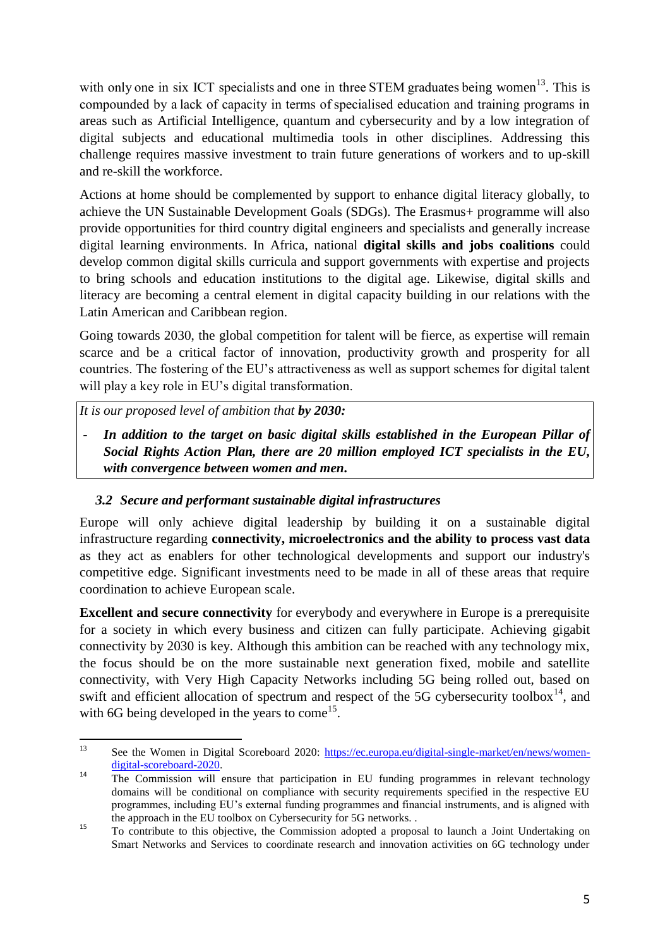with only one in six ICT specialists and one in three STEM graduates being women<sup>13</sup>. This is compounded by a lack of capacity in terms of specialised education and training programs in areas such as Artificial Intelligence, quantum and cybersecurity and by a low integration of digital subjects and educational multimedia tools in other disciplines. Addressing this challenge requires massive investment to train future generations of workers and to up-skill and re-skill the workforce.

Actions at home should be complemented by support to enhance digital literacy globally, to achieve the UN Sustainable Development Goals (SDGs). The Erasmus+ programme will also provide opportunities for third country digital engineers and specialists and generally increase digital learning environments. In Africa, national **digital skills and jobs coalitions** could develop common digital skills curricula and support governments with expertise and projects to bring schools and education institutions to the digital age. Likewise, digital skills and literacy are becoming a central element in digital capacity building in our relations with the Latin American and Caribbean region.

Going towards 2030, the global competition for talent will be fierce, as expertise will remain scarce and be a critical factor of innovation, productivity growth and prosperity for all countries. The fostering of the EU's attractiveness as well as support schemes for digital talent will play a key role in EU's digital transformation.

*It is our proposed level of ambition that by 2030:*

*- In addition to the target on basic digital skills established in the European Pillar of Social Rights Action Plan, there are 20 million employed ICT specialists in the EU, with convergence between women and men.*

# *3.2 Secure and performant sustainable digital infrastructures*

Europe will only achieve digital leadership by building it on a sustainable digital infrastructure regarding **connectivity, microelectronics and the ability to process vast data** as they act as enablers for other technological developments and support our industry's competitive edge. Significant investments need to be made in all of these areas that require coordination to achieve European scale.

**Excellent and secure connectivity** for everybody and everywhere in Europe is a prerequisite for a society in which every business and citizen can fully participate. Achieving gigabit connectivity by 2030 is key. Although this ambition can be reached with any technology mix, the focus should be on the more sustainable next generation fixed, mobile and satellite connectivity, with Very High Capacity Networks including 5G being rolled out, based on swift and efficient allocation of spectrum and respect of the 5G cybersecurity toolbox<sup>14</sup>, and with 6G being developed in the years to come<sup>15</sup>.

 $\overline{13}$ See the Women in Digital Scoreboard 2020: [https://ec.europa.eu/digital-single-market/en/news/women](https://ec.europa.eu/digital-single-market/en/news/women-digital-scoreboard-2020)[digital-scoreboard-2020.](https://ec.europa.eu/digital-single-market/en/news/women-digital-scoreboard-2020)

<sup>&</sup>lt;sup>14</sup> The Commission will ensure that participation in EU funding programmes in relevant technology domains will be conditional on compliance with security requirements specified in the respective EU programmes, including EU's external funding programmes and financial instruments, and is aligned with the approach in the EU toolbox on Cybersecurity for 5G networks. .

<sup>&</sup>lt;sup>15</sup> To contribute to this objective, the Commission adopted a proposal to launch a Joint Undertaking on Smart Networks and Services to coordinate research and innovation activities on 6G technology under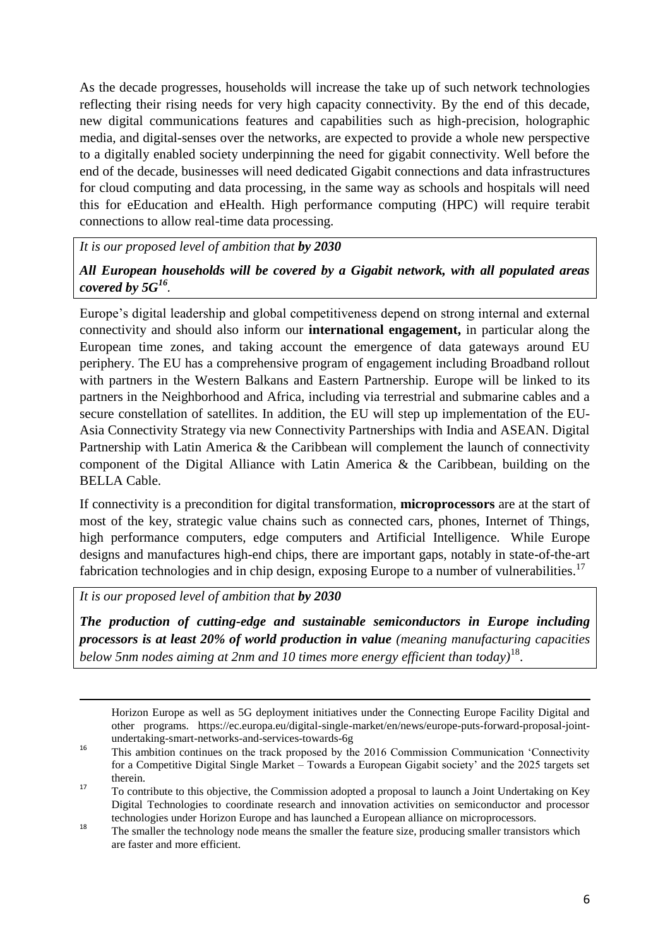As the decade progresses, households will increase the take up of such network technologies reflecting their rising needs for very high capacity connectivity. By the end of this decade, new digital communications features and capabilities such as high-precision, holographic media, and digital-senses over the networks, are expected to provide a whole new perspective to a digitally enabled society underpinning the need for gigabit connectivity. Well before the end of the decade, businesses will need dedicated Gigabit connections and data infrastructures for cloud computing and data processing, in the same way as schools and hospitals will need this for eEducation and eHealth. High performance computing (HPC) will require terabit connections to allow real-time data processing.

*It is our proposed level of ambition that by 2030* 

*All European households will be covered by a Gigabit network, with all populated areas covered by 5G<sup>16</sup> .*

Europe's digital leadership and global competitiveness depend on strong internal and external connectivity and should also inform our **international engagement,** in particular along the European time zones, and taking account the emergence of data gateways around EU periphery. The EU has a comprehensive program of engagement including Broadband rollout with partners in the Western Balkans and Eastern Partnership. Europe will be linked to its partners in the Neighborhood and Africa, including via terrestrial and submarine cables and a secure constellation of satellites. In addition, the EU will step up implementation of the EU-Asia Connectivity Strategy via new Connectivity Partnerships with India and ASEAN. Digital Partnership with Latin America & the Caribbean will complement the launch of connectivity component of the Digital Alliance with Latin America & the Caribbean, building on the BELLA Cable.

If connectivity is a precondition for digital transformation, **microprocessors** are at the start of most of the key, strategic value chains such as connected cars, phones, Internet of Things, high performance computers, edge computers and Artificial Intelligence. While Europe designs and manufactures high-end chips, there are important gaps, notably in state-of-the-art fabrication technologies and in chip design, exposing Europe to a number of vulnerabilities.<sup>17</sup>

*It is our proposed level of ambition that by 2030* 

**.** 

*The production of cutting-edge and sustainable semiconductors in Europe including processors is at least 20% of world production in value (meaning manufacturing capacities below 5nm nodes aiming at 2nm and 10 times more energy efficient than today)*<sup>18</sup> .

Horizon Europe as well as 5G deployment initiatives under the Connecting Europe Facility Digital and other programs. https://ec.europa.eu/digital-single-market/en/news/europe-puts-forward-proposal-jointundertaking-smart-networks-and-services-towards-6g

<sup>&</sup>lt;sup>16</sup> This ambition continues on the track proposed by the 2016 Commission Communication 'Connectivity for a Competitive Digital Single Market – Towards a European Gigabit society' and the 2025 targets set therein.

<sup>17</sup> To contribute to this objective, the Commission adopted a proposal to launch a Joint Undertaking on Key Digital Technologies to coordinate research and innovation activities on semiconductor and processor technologies under Horizon Europe and has launched a European alliance on microprocessors.

<sup>&</sup>lt;sup>18</sup> The smaller the technology node means the smaller the feature size, producing smaller transistors which are faster and more efficient.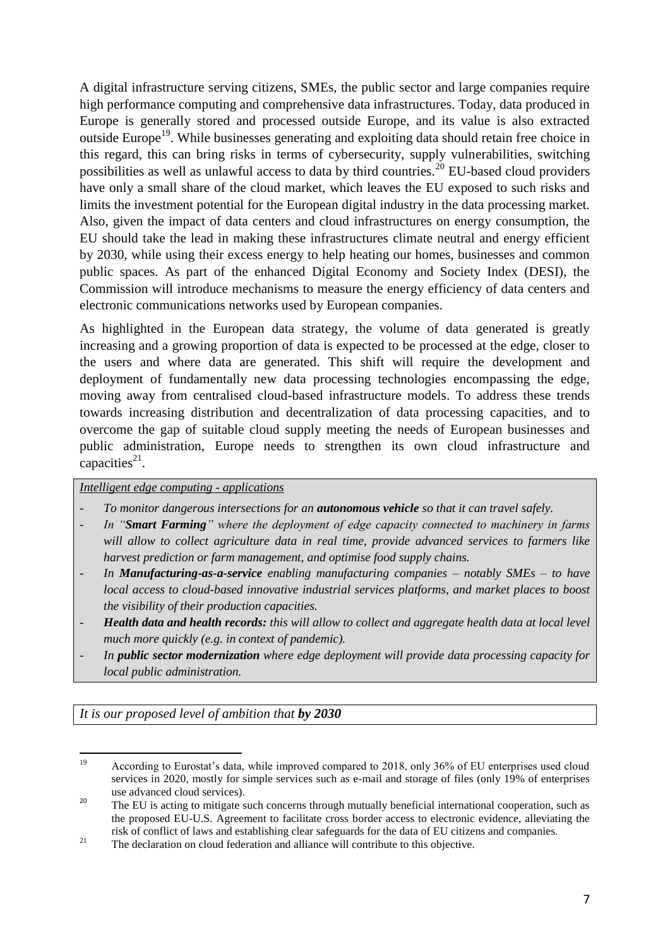A digital infrastructure serving citizens, SMEs, the public sector and large companies require high performance computing and comprehensive data infrastructures. Today, data produced in Europe is generally stored and processed outside Europe, and its value is also extracted outside Europe<sup>19</sup>. While businesses generating and exploiting data should retain free choice in this regard, this can bring risks in terms of cybersecurity, supply vulnerabilities, switching possibilities as well as unlawful access to data by third countries.<sup>20</sup> EU-based cloud providers have only a small share of the cloud market, which leaves the EU exposed to such risks and limits the investment potential for the European digital industry in the data processing market. Also, given the impact of data centers and cloud infrastructures on energy consumption, the EU should take the lead in making these infrastructures climate neutral and energy efficient by 2030, while using their excess energy to help heating our homes, businesses and common public spaces. As part of the enhanced Digital Economy and Society Index (DESI), the Commission will introduce mechanisms to measure the energy efficiency of data centers and electronic communications networks used by European companies.

As highlighted in the European data strategy, the volume of data generated is greatly increasing and a growing proportion of data is expected to be processed at the edge, closer to the users and where data are generated. This shift will require the development and deployment of fundamentally new data processing technologies encompassing the edge, moving away from centralised cloud-based infrastructure models. To address these trends towards increasing distribution and decentralization of data processing capacities, and to overcome the gap of suitable cloud supply meeting the needs of European businesses and public administration, Europe needs to strengthen its own cloud infrastructure and capacities $^{21}$ .

#### *Intelligent edge computing - applications*

- *To monitor dangerous intersections for an autonomous vehicle so that it can travel safely.*
- *In "Smart Farming" where the deployment of edge capacity connected to machinery in farms will allow to collect agriculture data in real time, provide advanced services to farmers like harvest prediction or farm management, and optimise food supply chains.*
- *In Manufacturing-as-a-service enabling manufacturing companies – notably SMEs – to have local access to cloud-based innovative industrial services platforms, and market places to boost the visibility of their production capacities.*
- *Health data and health records: this will allow to collect and aggregate health data at local level much more quickly (e.g. in context of pandemic).*
- *In public sector modernization where edge deployment will provide data processing capacity for local public administration.*

*It is our proposed level of ambition that by 2030* 

<sup>19</sup> <sup>19</sup> According to Eurostat's data, while improved compared to 2018, only 36% of EU enterprises used cloud services in 2020, mostly for simple services such as e-mail and storage of files (only 19% of enterprises use advanced cloud services).

<sup>&</sup>lt;sup>20</sup> The EU is acting to mitigate such concerns through mutually beneficial international cooperation, such as the proposed EU-U.S. Agreement to facilitate cross border access to electronic evidence, alleviating the risk of conflict of laws and establishing clear safeguards for the data of EU citizens and companies.

<sup>&</sup>lt;sup>21</sup> The declaration on cloud federation and alliance will contribute to this objective.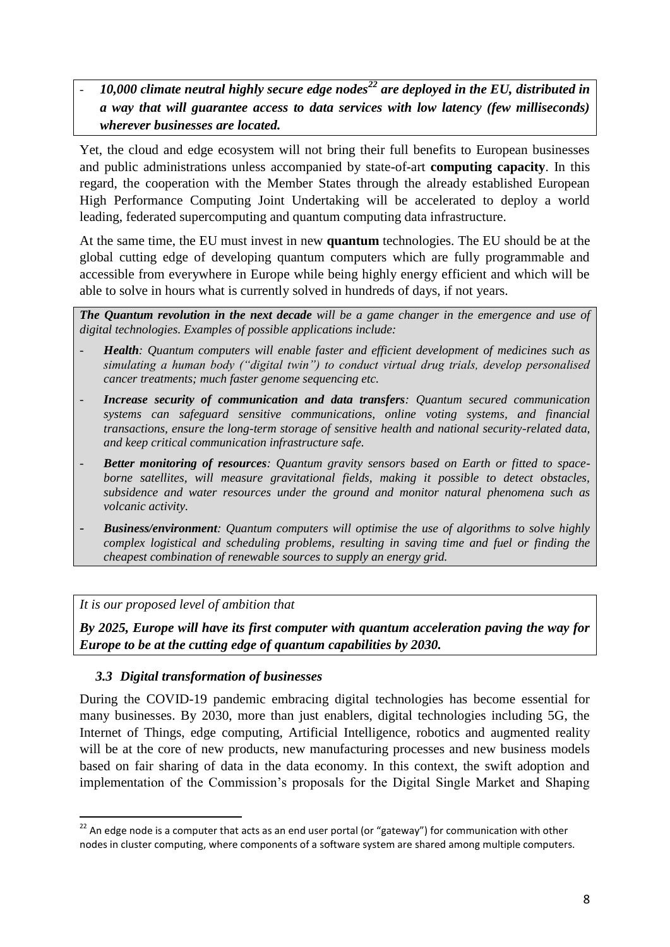- *10,000 climate neutral highly secure edge nodes<sup>22</sup> are deployed in the EU, distributed in a way that will guarantee access to data services with low latency (few milliseconds) wherever businesses are located.*

Yet, the cloud and edge ecosystem will not bring their full benefits to European businesses and public administrations unless accompanied by state-of-art **computing capacity**. In this regard, the cooperation with the Member States through the already established European High Performance Computing Joint Undertaking will be accelerated to deploy a world leading, federated supercomputing and quantum computing data infrastructure.

At the same time, the EU must invest in new **quantum** technologies. The EU should be at the global cutting edge of developing quantum computers which are fully programmable and accessible from everywhere in Europe while being highly energy efficient and which will be able to solve in hours what is currently solved in hundreds of days, if not years.

*The Quantum revolution in the next decade will be a game changer in the emergence and use of digital technologies. Examples of possible applications include:*

- *- Health: Quantum computers will enable faster and efficient development of medicines such as simulating a human body ("digital twin") to conduct virtual drug trials, develop personalised cancer treatments; much faster genome sequencing etc.*
- *Increase security of communication and data transfers: Quantum secured communication systems can safeguard sensitive communications, online voting systems, and financial transactions, ensure the long-term storage of sensitive health and national security-related data, and keep critical communication infrastructure safe.*
- *- Better monitoring of resources: Quantum gravity sensors based on Earth or fitted to spaceborne satellites, will measure gravitational fields, making it possible to detect obstacles, subsidence and water resources under the ground and monitor natural phenomena such as volcanic activity.*
- *- Business/environment: Quantum computers will optimise the use of algorithms to solve highly complex logistical and scheduling problems, resulting in saving time and fuel or finding the cheapest combination of renewable sources to supply an energy grid.*

*It is our proposed level of ambition that*

**.** 

*By 2025, Europe will have its first computer with quantum acceleration paving the way for Europe to be at the cutting edge of quantum capabilities by 2030.*

# *3.3 Digital transformation of businesses*

During the COVID-19 pandemic embracing digital technologies has become essential for many businesses. By 2030, more than just enablers, digital technologies including 5G, the Internet of Things, edge computing, Artificial Intelligence, robotics and augmented reality will be at the core of new products, new manufacturing processes and new business models based on fair sharing of data in the data economy. In this context, the swift adoption and implementation of the Commission's proposals for the Digital Single Market and Shaping

<sup>&</sup>lt;sup>22</sup> An edge node is a computer that acts as an end user portal (or "gateway") for communication with other nodes in cluster computing, where components of a software system are shared among multiple computers.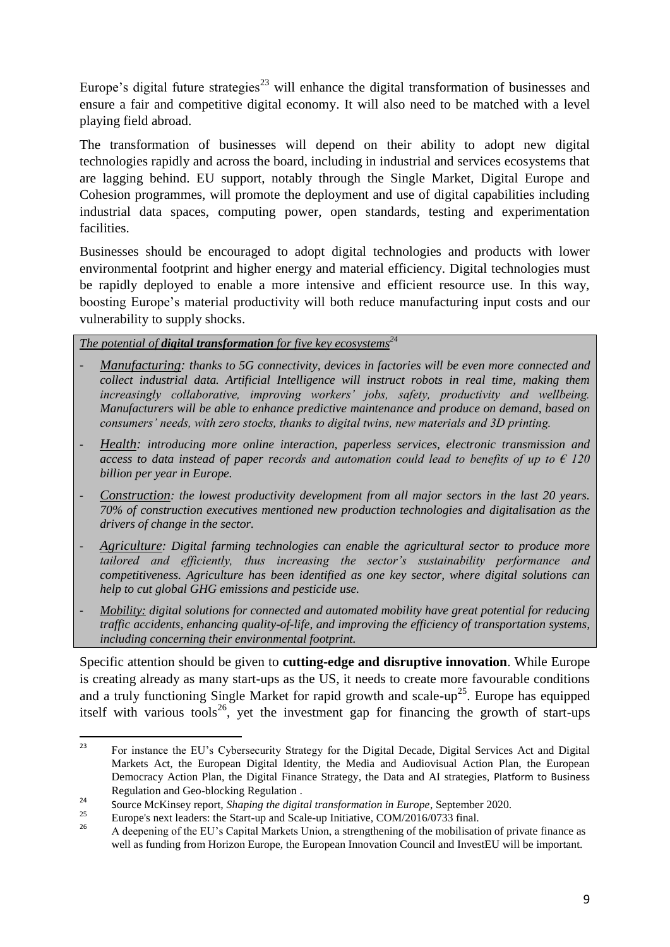Europe's digital future strategies<sup>23</sup> will enhance the digital transformation of businesses and ensure a fair and competitive digital economy. It will also need to be matched with a level playing field abroad.

The transformation of businesses will depend on their ability to adopt new digital technologies rapidly and across the board, including in industrial and services ecosystems that are lagging behind. EU support, notably through the Single Market, Digital Europe and Cohesion programmes, will promote the deployment and use of digital capabilities including industrial data spaces, computing power, open standards, testing and experimentation facilities.

Businesses should be encouraged to adopt digital technologies and products with lower environmental footprint and higher energy and material efficiency. Digital technologies must be rapidly deployed to enable a more intensive and efficient resource use. In this way, boosting Europe's material productivity will both reduce manufacturing input costs and our vulnerability to supply shocks.

*The potential of digital transformation for five key ecosystems<sup>24</sup>*

- *Manufacturing: thanks to 5G connectivity, devices in factories will be even more connected and collect industrial data. Artificial Intelligence will instruct robots in real time, making them increasingly collaborative, improving workers' jobs, safety, productivity and wellbeing. Manufacturers will be able to enhance predictive maintenance and produce on demand, based on consumers' needs, with zero stocks, thanks to digital twins, new materials and 3D printing.*
- *Health: introducing more online interaction, paperless services, electronic transmission and access to data instead of paper records and automation could lead to benefits of up to € 120 billion per year in Europe.*
- *Construction: the lowest productivity development from all major sectors in the last 20 years. 70% of construction executives mentioned new production technologies and digitalisation as the drivers of change in the sector.*
- *Agriculture: Digital farming technologies can enable the agricultural sector to produce more tailored and efficiently, thus increasing the sector's sustainability performance and competitiveness. Agriculture has been identified as one key sector, where digital solutions can help to cut global GHG emissions and pesticide use.*
- *Mobility: digital solutions for connected and automated mobility have great potential for reducing traffic accidents, enhancing quality-of-life, and improving the efficiency of transportation systems, including concerning their environmental footprint.*

Specific attention should be given to **cutting-edge and disruptive innovation**. While Europe is creating already as many start-ups as the US, it needs to create more favourable conditions and a truly functioning Single Market for rapid growth and scale-up<sup>25</sup>. Europe has equipped itself with various tools<sup>26</sup>, yet the investment gap for financing the growth of start-ups

 $23$ <sup>23</sup> For instance the EU's Cybersecurity Strategy for the Digital Decade, Digital Services Act and Digital Markets Act, the European Digital Identity, the Media and Audiovisual Action Plan, the European Democracy Action Plan, the Digital Finance Strategy, the Data and AI strategies, Platform to Business Regulation and Geo-blocking Regulation .

<sup>&</sup>lt;sup>24</sup> Source McKinsey report, *Shaping the digital transformation in Europe*, September 2020.

<sup>&</sup>lt;sup>25</sup> Europe's next leaders: the Start-up and Scale-up Initiative, COM/2016/0733 final.

<sup>26</sup> A deepening of the EU's Capital Markets Union, a strengthening of the mobilisation of private finance as well as funding from Horizon Europe, the European Innovation Council and InvestEU will be important.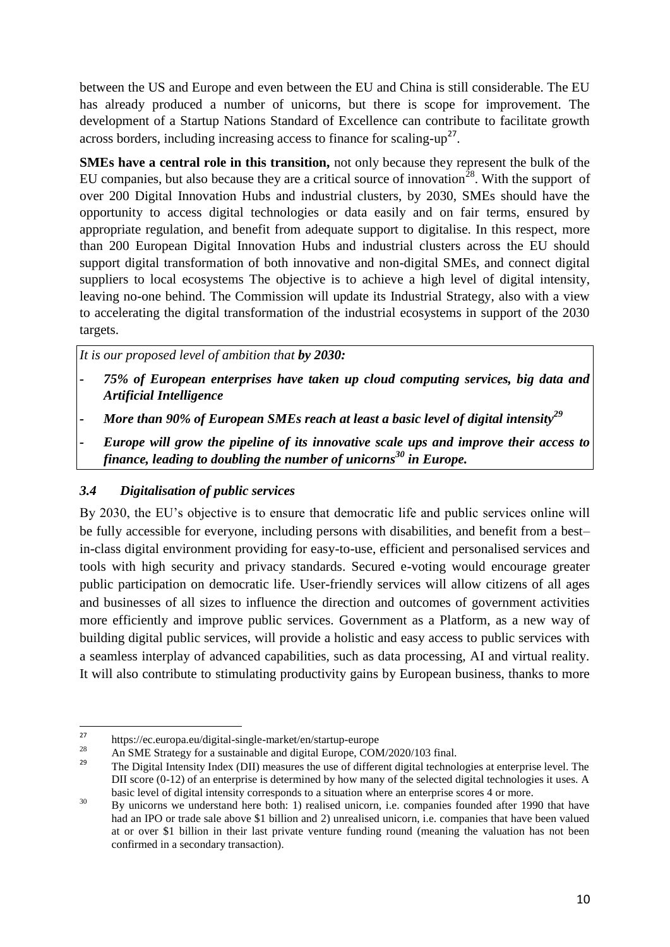between the US and Europe and even between the EU and China is still considerable. The EU has already produced a number of unicorns, but there is scope for improvement. The development of a Startup Nations Standard of Excellence can contribute to facilitate growth across borders, including increasing access to finance for scaling- $up<sup>27</sup>$ .

**SMEs have a central role in this transition,** not only because they represent the bulk of the EU companies, but also because they are a critical source of innovation<sup>28</sup>. With the support of over 200 Digital Innovation Hubs and industrial clusters, by 2030, SMEs should have the opportunity to access digital technologies or data easily and on fair terms, ensured by appropriate regulation, and benefit from adequate support to digitalise. In this respect, more than 200 European Digital Innovation Hubs and industrial clusters across the EU should support digital transformation of both innovative and non-digital SMEs, and connect digital suppliers to local ecosystems The objective is to achieve a high level of digital intensity, leaving no-one behind. The Commission will update its Industrial Strategy, also with a view to accelerating the digital transformation of the industrial ecosystems in support of the 2030 targets.

*It is our proposed level of ambition that by 2030:*

- *- 75% of European enterprises have taken up cloud computing services, big data and Artificial Intelligence*
- *- More than 90% of European SMEs reach at least a basic level of digital intensity<sup>29</sup>*
- *Europe will grow the pipeline of its innovative scale ups and improve their access to finance, leading to doubling the number of unicorns<sup>30</sup> in Europe.*

#### *3.4 Digitalisation of public services*

By 2030, the EU's objective is to ensure that democratic life and public services online will be fully accessible for everyone, including persons with disabilities, and benefit from a best– in-class digital environment providing for easy-to-use, efficient and personalised services and tools with high security and privacy standards. Secured e-voting would encourage greater public participation on democratic life. User-friendly services will allow citizens of all ages and businesses of all sizes to influence the direction and outcomes of government activities more efficiently and improve public services. Government as a Platform, as a new way of building digital public services, will provide a holistic and easy access to public services with a seamless interplay of advanced capabilities, such as data processing, AI and virtual reality. It will also contribute to stimulating productivity gains by European business, thanks to more

 $27$ <sup>27</sup> https://ec.europa.eu/digital-single-market/en/startup-europe

<sup>&</sup>lt;sup>28</sup> An SME Strategy for a sustainable and digital Europe, COM/2020/103 final.

<sup>29</sup> The Digital Intensity Index (DII) measures the use of different digital technologies at enterprise level. The DII score (0-12) of an enterprise is determined by how many of the selected digital technologies it uses. A basic level of digital intensity corresponds to a situation where an enterprise scores 4 or more.

<sup>&</sup>lt;sup>30</sup> By unicorns we understand here both: 1) realised unicorn, i.e. companies founded after 1990 that have had an IPO or trade sale above \$1 billion and 2) unrealised unicorn, i.e. companies that have been valued at or over \$1 billion in their last private venture funding round (meaning the valuation has not been confirmed in a secondary transaction).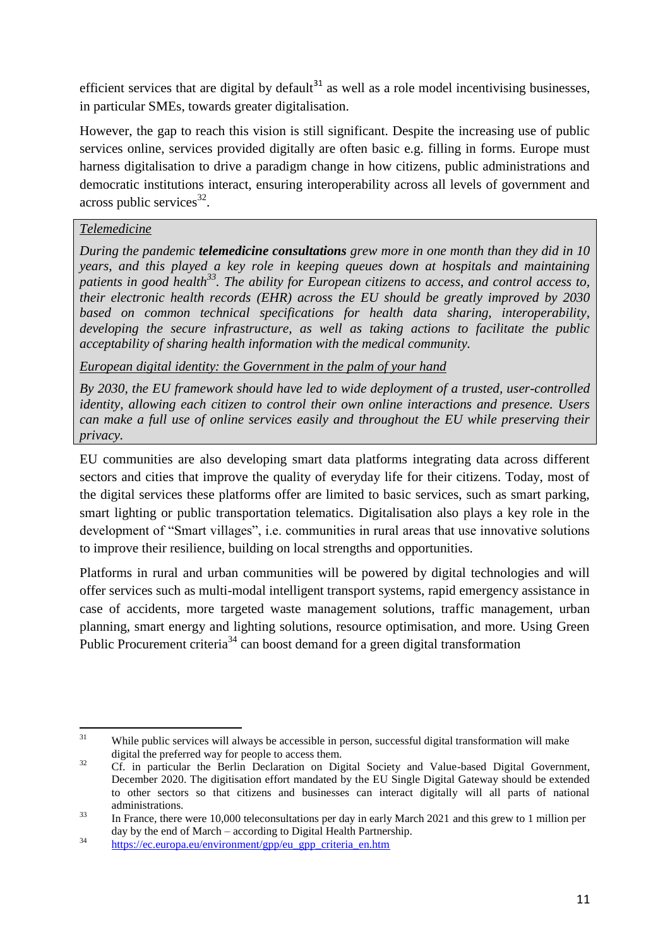efficient services that are digital by default<sup>31</sup> as well as a role model incentivising businesses, in particular SMEs, towards greater digitalisation.

However, the gap to reach this vision is still significant. Despite the increasing use of public services online, services provided digitally are often basic e.g. filling in forms. Europe must harness digitalisation to drive a paradigm change in how citizens, public administrations and democratic institutions interact, ensuring interoperability across all levels of government and  $across$  public services<sup>32</sup>.

# *Telemedicine*

*During the pandemic telemedicine consultations grew more in one month than they did in 10 years, and this played a key role in keeping queues down at hospitals and maintaining patients in good health<sup>33</sup>. The ability for European citizens to access, and control access to, their electronic health records (EHR) across the EU should be greatly improved by 2030 based on common technical specifications for health data sharing, interoperability, developing the secure infrastructure, as well as taking actions to facilitate the public acceptability of sharing health information with the medical community.*

*European digital identity: the Government in the palm of your hand*

*By 2030, the EU framework should have led to wide deployment of a trusted, user-controlled identity, allowing each citizen to control their own online interactions and presence. Users can make a full use of online services easily and throughout the EU while preserving their privacy.* 

EU communities are also developing smart data platforms integrating data across different sectors and cities that improve the quality of everyday life for their citizens. Today, most of the digital services these platforms offer are limited to basic services, such as smart parking, smart lighting or public transportation telematics. Digitalisation also plays a key role in the development of "Smart villages", i.e. communities in rural areas that use innovative solutions to improve their resilience, building on local strengths and opportunities.

Platforms in rural and urban communities will be powered by digital technologies and will offer services such as multi-modal intelligent transport systems, rapid emergency assistance in case of accidents, more targeted waste management solutions, traffic management, urban planning, smart energy and lighting solutions, resource optimisation, and more. Using Green Public Procurement criteria<sup>34</sup> can boost demand for a green digital transformation

 $31$ While public services will always be accessible in person, successful digital transformation will make digital the preferred way for people to access them.

<sup>&</sup>lt;sup>32</sup> Cf. in particular the Berlin Declaration on Digital Society and Value-based Digital Government, December 2020. The digitisation effort mandated by the EU Single Digital Gateway should be extended to other sectors so that citizens and businesses can interact digitally will all parts of national administrations.

<sup>&</sup>lt;sup>33</sup> In France, there were 10,000 teleconsultations per day in early March 2021 and this grew to 1 million per day by the end of March – according to Digital Health Partnership.

<sup>&</sup>lt;sup>34</sup> https://ec.europa.eu/environment/gpp/eu\_gpp\_criteria\_en.htm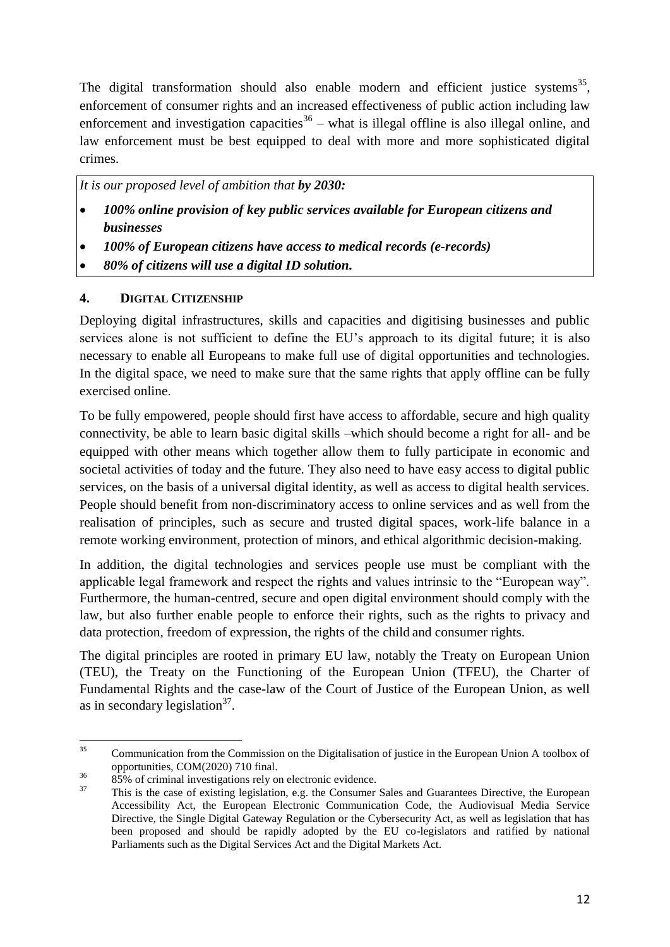The digital transformation should also enable modern and efficient justice systems<sup>35</sup>, enforcement of consumer rights and an increased effectiveness of public action including law enforcement and investigation capacities $36$  – what is illegal offline is also illegal online, and law enforcement must be best equipped to deal with more and more sophisticated digital crimes.

*It is our proposed level of ambition that by 2030:*

- *100% online provision of key public services available for European citizens and businesses*
- *100% of European citizens have access to medical records (e-records)*
- *80% of citizens will use a digital ID solution.*

#### **4. DIGITAL CITIZENSHIP**

Deploying digital infrastructures, skills and capacities and digitising businesses and public services alone is not sufficient to define the EU's approach to its digital future; it is also necessary to enable all Europeans to make full use of digital opportunities and technologies. In the digital space, we need to make sure that the same rights that apply offline can be fully exercised online.

To be fully empowered, people should first have access to affordable, secure and high quality connectivity, be able to learn basic digital skills –which should become a right for all- and be equipped with other means which together allow them to fully participate in economic and societal activities of today and the future. They also need to have easy access to digital public services, on the basis of a universal digital identity, as well as access to digital health services. People should benefit from non-discriminatory access to online services and as well from the realisation of principles, such as secure and trusted digital spaces, work-life balance in a remote working environment, protection of minors, and ethical algorithmic decision-making.

In addition, the digital technologies and services people use must be compliant with the applicable legal framework and respect the rights and values intrinsic to the "European way". Furthermore, the human-centred, secure and open digital environment should comply with the law, but also further enable people to enforce their rights, such as the rights to privacy and data protection, freedom of expression, the rights of the child and consumer rights.

The digital principles are rooted in primary EU law, notably the Treaty on European Union (TEU), the Treaty on the Functioning of the European Union (TFEU), the Charter of Fundamental Rights and the case-law of the Court of Justice of the European Union, as well as in secondary legislation<sup>37</sup>.

 $35$ <sup>35</sup> Communication from the Commission on the Digitalisation of justice in the European Union A toolbox of opportunities, COM(2020) 710 final.

<sup>&</sup>lt;sup>36</sup> 85% of criminal investigations rely on electronic evidence.<br><sup>37</sup> This is the aggs of evisting logislation as the Consumer.

This is the case of existing legislation, e.g. the Consumer Sales and Guarantees Directive, the European Accessibility Act, the European Electronic Communication Code, the Audiovisual Media Service Directive, the Single Digital Gateway Regulation or the Cybersecurity Act, as well as legislation that has been proposed and should be rapidly adopted by the EU co-legislators and ratified by national Parliaments such as the Digital Services Act and the Digital Markets Act.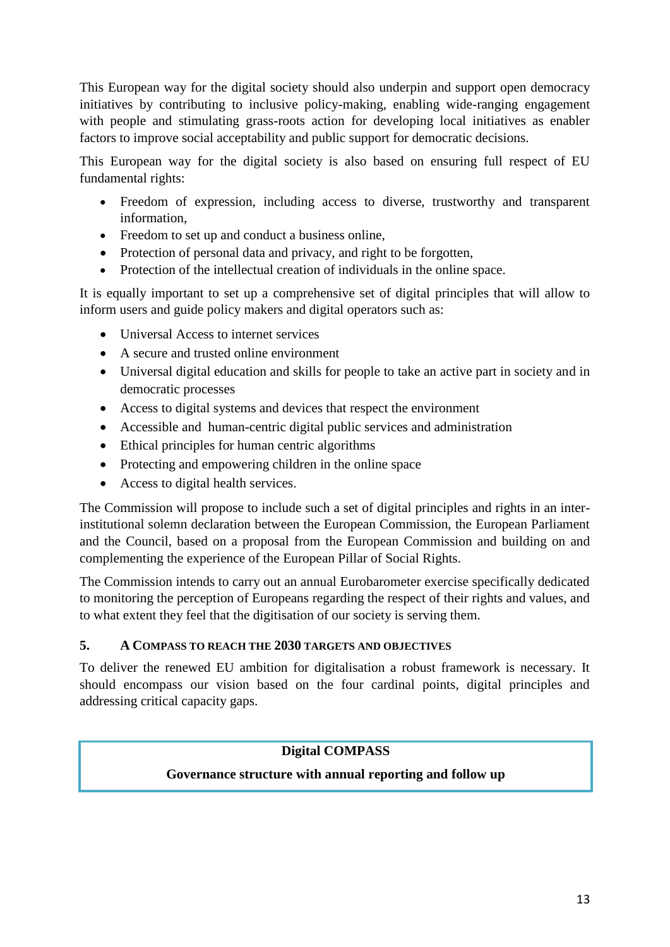This European way for the digital society should also underpin and support open democracy initiatives by contributing to inclusive policy-making, enabling wide-ranging engagement with people and stimulating grass-roots action for developing local initiatives as enabler factors to improve social acceptability and public support for democratic decisions.

This European way for the digital society is also based on ensuring full respect of EU fundamental rights:

- Freedom of expression, including access to diverse, trustworthy and transparent information,
- Freedom to set up and conduct a business online,
- Protection of personal data and privacy, and right to be forgotten,
- Protection of the intellectual creation of individuals in the online space.

It is equally important to set up a comprehensive set of digital principles that will allow to inform users and guide policy makers and digital operators such as:

- Universal Access to internet services
- A secure and trusted online environment
- Universal digital education and skills for people to take an active part in society and in democratic processes
- Access to digital systems and devices that respect the environment
- Accessible and human-centric digital public services and administration
- Ethical principles for human centric algorithms
- Protecting and empowering children in the online space
- Access to digital health services.

The Commission will propose to include such a set of digital principles and rights in an interinstitutional solemn declaration between the European Commission, the European Parliament and the Council, based on a proposal from the European Commission and building on and complementing the experience of the European Pillar of Social Rights.

The Commission intends to carry out an annual Eurobarometer exercise specifically dedicated to monitoring the perception of Europeans regarding the respect of their rights and values, and to what extent they feel that the digitisation of our society is serving them.

# **5. A COMPASS TO REACH THE 2030 TARGETS AND OBJECTIVES**

To deliver the renewed EU ambition for digitalisation a robust framework is necessary. It should encompass our vision based on the four cardinal points, digital principles and addressing critical capacity gaps.

# **Digital COMPASS**

# **Governance structure with annual reporting and follow up**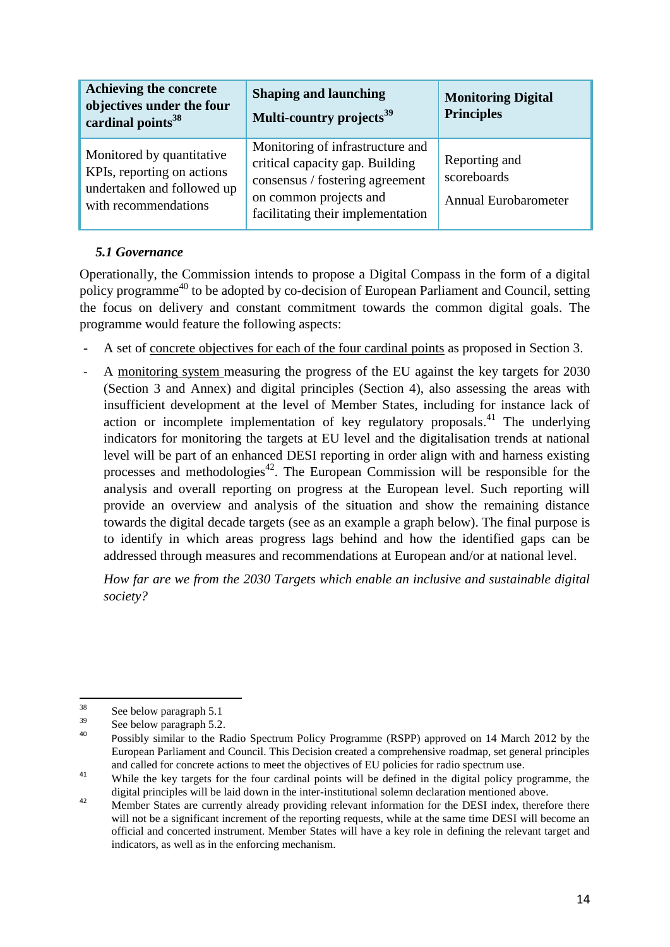| Achieving the concrete<br>objectives under the four<br>cardinal points <sup>38</sup>                          | <b>Shaping and launching</b><br>Multi-country projects <sup>39</sup>                                                                                                  | <b>Monitoring Digital</b><br><b>Principles</b>              |
|---------------------------------------------------------------------------------------------------------------|-----------------------------------------------------------------------------------------------------------------------------------------------------------------------|-------------------------------------------------------------|
| Monitored by quantitative<br>KPIs, reporting on actions<br>undertaken and followed up<br>with recommendations | Monitoring of infrastructure and<br>critical capacity gap. Building<br>consensus / fostering agreement<br>on common projects and<br>facilitating their implementation | Reporting and<br>scoreboards<br><b>Annual Eurobarometer</b> |

# *5.1 Governance*

Operationally, the Commission intends to propose a Digital Compass in the form of a digital policy programme<sup>40</sup> to be adopted by co-decision of European Parliament and Council, setting the focus on delivery and constant commitment towards the common digital goals. The programme would feature the following aspects:

- A set of concrete objectives for each of the four cardinal points as proposed in Section 3.
- A monitoring system measuring the progress of the EU against the key targets for 2030 (Section 3 and Annex) and digital principles (Section 4), also assessing the areas with insufficient development at the level of Member States, including for instance lack of action or incomplete implementation of key regulatory proposals.<sup>41</sup> The underlying indicators for monitoring the targets at EU level and the digitalisation trends at national level will be part of an enhanced DESI reporting in order align with and harness existing processes and methodologies<sup> $42$ </sup>. The European Commission will be responsible for the analysis and overall reporting on progress at the European level. Such reporting will provide an overview and analysis of the situation and show the remaining distance towards the digital decade targets (see as an example a graph below). The final purpose is to identify in which areas progress lags behind and how the identified gaps can be addressed through measures and recommendations at European and/or at national level.

*How far are we from the 2030 Targets which enable an inclusive and sustainable digital society?* 

<sup>38</sup>  $rac{38}{39}$  See below paragraph 5.1

 $\frac{39}{40}$  See below paragraph 5.2.

<sup>40</sup> Possibly similar to the [Radio Spectrum Policy Programme](http://eur-lex.europa.eu/LexUriServ/LexUriServ.do?uri=CELEX:32012D0243:EN:NOT) (RSPP) approved on 14 March 2012 by the European Parliament and Council. This Decision created a comprehensive roadmap, set general principles and called for concrete actions to meet the objectives of EU policies for radio spectrum use.

<sup>&</sup>lt;sup>41</sup> While the key targets for the four cardinal points will be defined in the digital policy programme, the digital principles will be laid down in the inter-institutional solemn declaration mentioned above.

<sup>&</sup>lt;sup>42</sup> Member States are currently already providing relevant information for the DESI index, therefore there will not be a significant increment of the reporting requests, while at the same time DESI will become an official and concerted instrument. Member States will have a key role in defining the relevant target and indicators, as well as in the enforcing mechanism.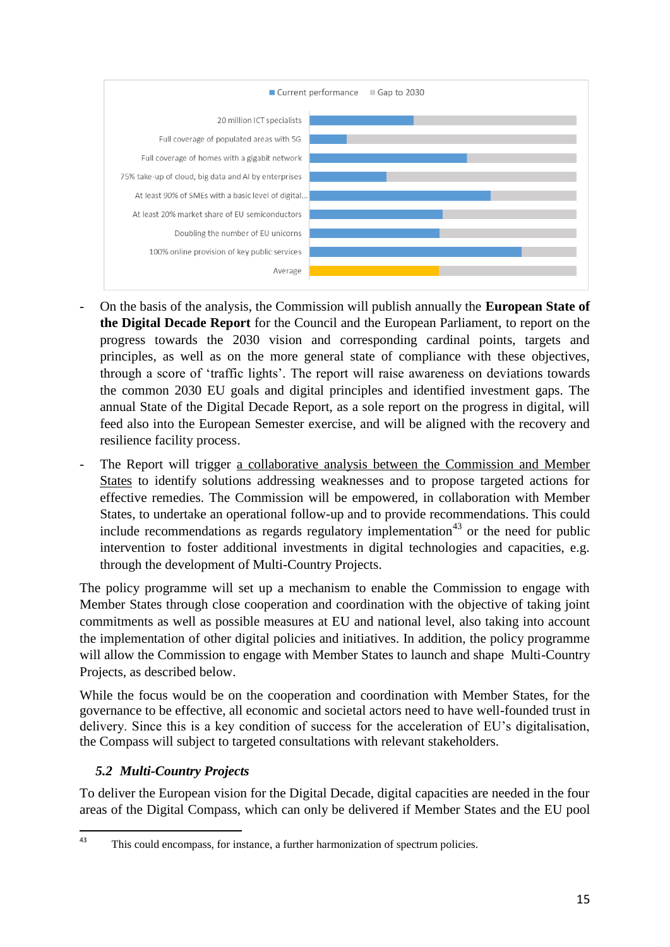

- On the basis of the analysis, the Commission will publish annually the **European State of the Digital Decade Report** for the Council and the European Parliament, to report on the progress towards the 2030 vision and corresponding cardinal points, targets and principles, as well as on the more general state of compliance with these objectives, through a score of 'traffic lights'. The report will raise awareness on deviations towards the common 2030 EU goals and digital principles and identified investment gaps. The annual State of the Digital Decade Report, as a sole report on the progress in digital, will feed also into the European Semester exercise, and will be aligned with the recovery and resilience facility process.
- The Report will trigger a collaborative analysis between the Commission and Member States to identify solutions addressing weaknesses and to propose targeted actions for effective remedies. The Commission will be empowered, in collaboration with Member States, to undertake an operational follow-up and to provide recommendations. This could include recommendations as regards regulatory implementation<sup>43</sup> or the need for public intervention to foster additional investments in digital technologies and capacities, e.g. through the development of Multi-Country Projects.

The policy programme will set up a mechanism to enable the Commission to engage with Member States through close cooperation and coordination with the objective of taking joint commitments as well as possible measures at EU and national level, also taking into account the implementation of other digital policies and initiatives. In addition, the policy programme will allow the Commission to engage with Member States to launch and shape Multi-Country Projects, as described below.

While the focus would be on the cooperation and coordination with Member States, for the governance to be effective, all economic and societal actors need to have well-founded trust in delivery. Since this is a key condition of success for the acceleration of EU's digitalisation, the Compass will subject to targeted consultations with relevant stakeholders.

# *5.2 Multi-Country Projects*

To deliver the European vision for the Digital Decade, digital capacities are needed in the four areas of the Digital Compass, which can only be delivered if Member States and the EU pool

 $43$ This could encompass, for instance, a further harmonization of spectrum policies.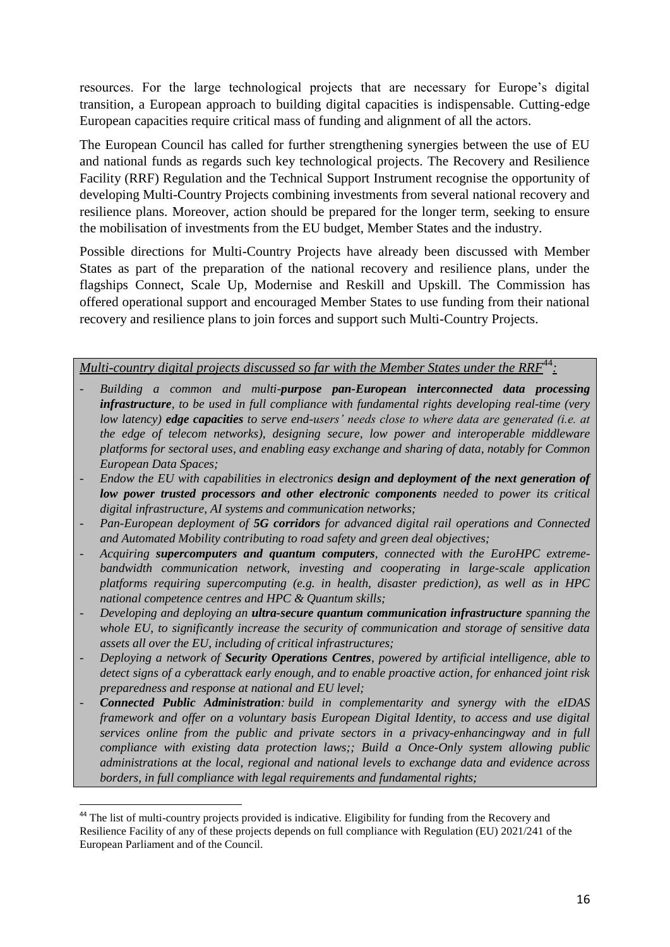resources. For the large technological projects that are necessary for Europe's digital transition, a European approach to building digital capacities is indispensable. Cutting-edge European capacities require critical mass of funding and alignment of all the actors.

The European Council has called for further strengthening synergies between the use of EU and national funds as regards such key technological projects. The Recovery and Resilience Facility (RRF) Regulation and the Technical Support Instrument recognise the opportunity of developing Multi-Country Projects combining investments from several national recovery and resilience plans. Moreover, action should be prepared for the longer term, seeking to ensure the mobilisation of investments from the EU budget, Member States and the industry.

Possible directions for Multi-Country Projects have already been discussed with Member States as part of the preparation of the national recovery and resilience plans, under the flagships Connect, Scale Up, Modernise and Reskill and Upskill. The Commission has offered operational support and encouraged Member States to use funding from their national recovery and resilience plans to join forces and support such Multi-Country Projects.

*Multi-country digital projects discussed so far with the Member States under the RRF*<sup>44</sup>:

- *Building a common and multi-purpose pan-European interconnected data processing infrastructure, to be used in full compliance with fundamental rights developing real-time (very low latency) edge capacities to serve end-users' needs close to where data are generated (i.e. at the edge of telecom networks), designing secure, low power and interoperable middleware platforms for sectoral uses, and enabling easy exchange and sharing of data, notably for Common European Data Spaces;*
- *Endow the EU with capabilities in electronics design and deployment of the next generation of low power trusted processors and other electronic components needed to power its critical digital infrastructure, AI systems and communication networks;*
- *Pan-European deployment of 5G corridors for advanced digital rail operations and Connected and Automated Mobility contributing to road safety and green deal objectives;*
- *Acquiring supercomputers and quantum computers, connected with the EuroHPC extremebandwidth communication network, investing and cooperating in large-scale application platforms requiring supercomputing (e.g. in health, disaster prediction), as well as in HPC national competence centres and HPC & Quantum skills;*
- *Developing and deploying an ultra-secure quantum communication infrastructure spanning the whole EU, to significantly increase the security of communication and storage of sensitive data assets all over the EU, including of critical infrastructures;*
- *Deploying a network of Security Operations Centres, powered by artificial intelligence, able to detect signs of a cyberattack early enough, and to enable proactive action, for enhanced joint risk preparedness and response at national and EU level;*
- *Connected Public Administration: build in complementarity and synergy with the eIDAS framework and offer on a voluntary basis European Digital Identity, to access and use digital services online from the public and private sectors in a privacy-enhancingway and in full compliance with existing data protection laws;; Build a Once-Only system allowing public administrations at the local, regional and national levels to exchange data and evidence across borders, in full compliance with legal requirements and fundamental rights;*

.

<sup>&</sup>lt;sup>44</sup> The list of multi-country projects provided is indicative. Eligibility for funding from the Recovery and Resilience Facility of any of these projects depends on full compliance with Regulation (EU) 2021/241 of the European Parliament and of the Council.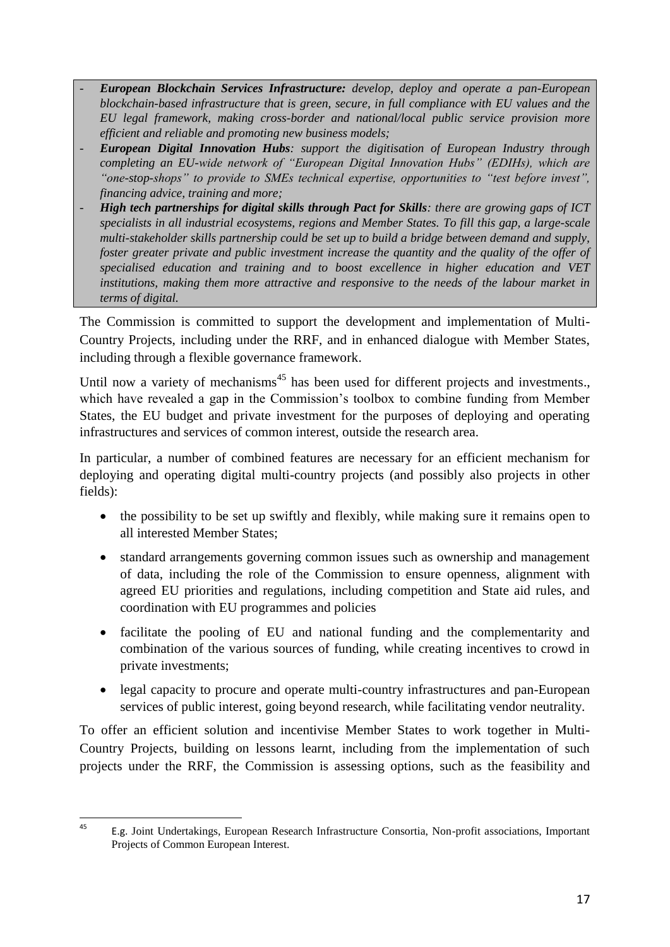- *European Blockchain Services Infrastructure: develop, deploy and operate a pan-European blockchain-based infrastructure that is green, secure, in full compliance with EU values and the EU legal framework, making cross-border and national/local public service provision more efficient and reliable and promoting new business models;*
- *European Digital Innovation Hubs: support the digitisation of European Industry through completing an EU-wide network of "European Digital Innovation Hubs" (EDIHs), which are "one-stop-shops" to provide to SMEs technical expertise, opportunities to "test before invest", financing advice, training and more;*
- *High tech partnerships for digital skills through Pact for Skills: there are growing gaps of ICT specialists in all industrial ecosystems, regions and Member States. To fill this gap, a large-scale multi-stakeholder skills partnership could be set up to build a bridge between demand and supply, foster greater private and public investment increase the quantity and the quality of the offer of specialised education and training and to boost excellence in higher education and VET institutions, making them more attractive and responsive to the needs of the labour market in terms of digital.*

The Commission is committed to support the development and implementation of Multi-Country Projects, including under the RRF, and in enhanced dialogue with Member States, including through a flexible governance framework.

Until now a variety of mechanisms<sup>45</sup> has been used for different projects and investments. which have revealed a gap in the Commission's toolbox to combine funding from Member States, the EU budget and private investment for the purposes of deploying and operating infrastructures and services of common interest, outside the research area.

In particular, a number of combined features are necessary for an efficient mechanism for deploying and operating digital multi-country projects (and possibly also projects in other fields):

- the possibility to be set up swiftly and flexibly, while making sure it remains open to all interested Member States;
- standard arrangements governing common issues such as ownership and management of data, including the role of the Commission to ensure openness, alignment with agreed EU priorities and regulations, including competition and State aid rules, and coordination with EU programmes and policies
- facilitate the pooling of EU and national funding and the complementarity and combination of the various sources of funding, while creating incentives to crowd in private investments;
- legal capacity to procure and operate multi-country infrastructures and pan-European services of public interest, going beyond research, while facilitating vendor neutrality.

To offer an efficient solution and incentivise Member States to work together in Multi-Country Projects, building on lessons learnt, including from the implementation of such projects under the RRF, the Commission is assessing options, such as the feasibility and

 $45$ <sup>45</sup> E.g. Joint Undertakings, European Research Infrastructure Consortia, Non-profit associations, Important Projects of Common European Interest.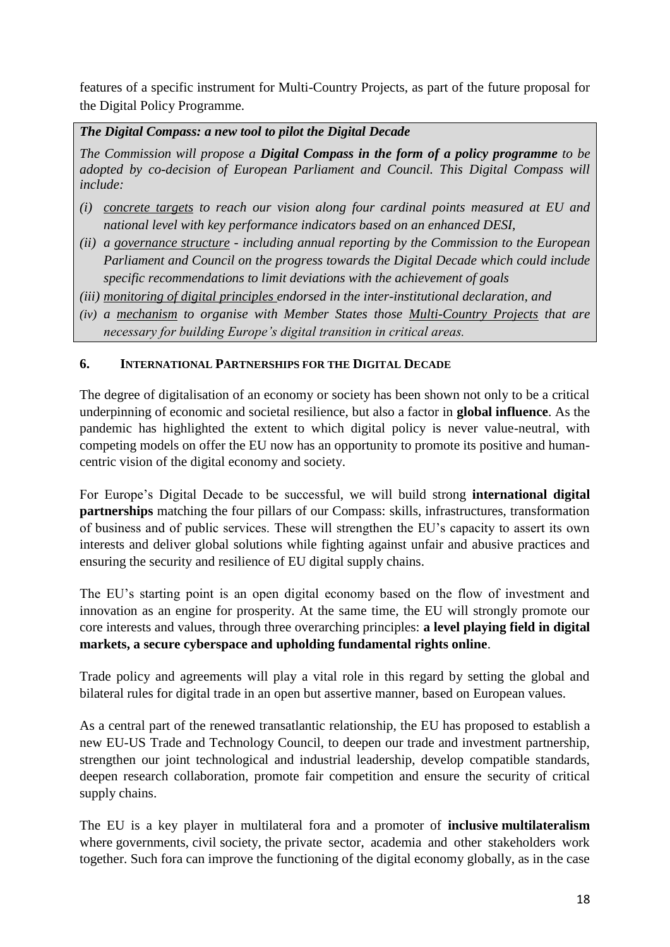features of a specific instrument for Multi-Country Projects, as part of the future proposal for the Digital Policy Programme.

*The Digital Compass: a new tool to pilot the Digital Decade*

*The Commission will propose a Digital Compass in the form of a policy programme to be adopted by co-decision of European Parliament and Council. This Digital Compass will include:*

- *(i) concrete targets to reach our vision along four cardinal points measured at EU and national level with key performance indicators based on an enhanced DESI,*
- *(ii) a governance structure - including annual reporting by the Commission to the European Parliament and Council on the progress towards the Digital Decade which could include specific recommendations to limit deviations with the achievement of goals*
- *(iii) monitoring of digital principles endorsed in the inter-institutional declaration, and*
- *(iv) a mechanism to organise with Member States those Multi-Country Projects that are necessary for building Europe's digital transition in critical areas.*

#### **6. INTERNATIONAL PARTNERSHIPS FOR THE DIGITAL DECADE**

The degree of digitalisation of an economy or society has been shown not only to be a critical underpinning of economic and societal resilience, but also a factor in **global influence**. As the pandemic has highlighted the extent to which digital policy is never value-neutral, with competing models on offer the EU now has an opportunity to promote its positive and humancentric vision of the digital economy and society.

For Europe's Digital Decade to be successful, we will build strong **international digital partnerships** matching the four pillars of our Compass: skills, infrastructures, transformation of business and of public services. These will strengthen the EU's capacity to assert its own interests and deliver global solutions while fighting against unfair and abusive practices and ensuring the security and resilience of EU digital supply chains.

The EU's starting point is an open digital economy based on the flow of investment and innovation as an engine for prosperity. At the same time, the EU will strongly promote our core interests and values, through three overarching principles: **a level playing field in digital markets, a secure cyberspace and upholding fundamental rights online**.

Trade policy and agreements will play a vital role in this regard by setting the global and bilateral rules for digital trade in an open but assertive manner, based on European values.

As a central part of the renewed transatlantic relationship, the EU has proposed to establish a new EU-US Trade and Technology Council, to deepen our trade and investment partnership, strengthen our joint technological and industrial leadership, develop compatible standards, deepen research collaboration, promote fair competition and ensure the security of critical supply chains.

The EU is a key player in multilateral fora and a promoter of **inclusive multilateralism** where governments, civil society, the private sector, academia and other stakeholders work together. Such fora can improve the functioning of the digital economy globally, as in the case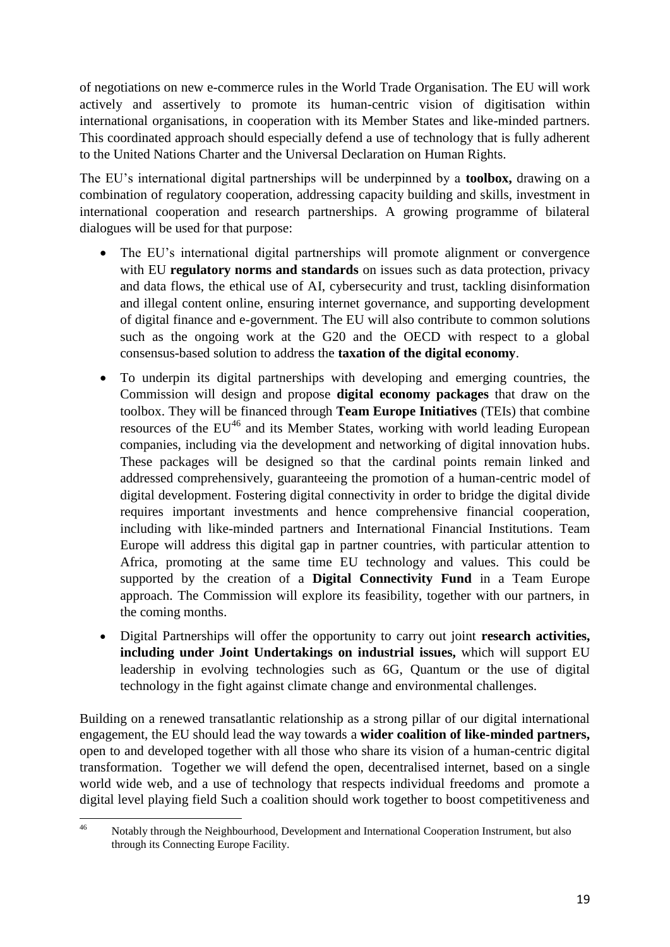of negotiations on new e-commerce rules in the World Trade Organisation. The EU will work actively and assertively to promote its human-centric vision of digitisation within international organisations, in cooperation with its Member States and like-minded partners. This coordinated approach should especially defend a use of technology that is fully adherent to the United Nations Charter and the Universal Declaration on Human Rights.

The EU's international digital partnerships will be underpinned by a **toolbox,** drawing on a combination of regulatory cooperation, addressing capacity building and skills, investment in international cooperation and research partnerships. A growing programme of bilateral dialogues will be used for that purpose:

- The EU's international digital partnerships will promote alignment or convergence with EU **regulatory norms and standards** on issues such as data protection, privacy and data flows, the ethical use of AI, cybersecurity and trust, tackling disinformation and illegal content online, ensuring internet governance, and supporting development of digital finance and e-government. The EU will also contribute to common solutions such as the ongoing work at the G20 and the OECD with respect to a global consensus-based solution to address the **taxation of the digital economy**.
- To underpin its digital partnerships with developing and emerging countries, the Commission will design and propose **digital economy packages** that draw on the toolbox. They will be financed through **Team Europe Initiatives** (TEIs) that combine resources of the  $EU^{46}$  and its Member States, working with world leading European companies, including via the development and networking of digital innovation hubs. These packages will be designed so that the cardinal points remain linked and addressed comprehensively, guaranteeing the promotion of a human-centric model of digital development. Fostering digital connectivity in order to bridge the digital divide requires important investments and hence comprehensive financial cooperation, including with like-minded partners and International Financial Institutions. Team Europe will address this digital gap in partner countries, with particular attention to Africa, promoting at the same time EU technology and values. This could be supported by the creation of a **Digital Connectivity Fund** in a Team Europe approach. The Commission will explore its feasibility, together with our partners, in the coming months.
- Digital Partnerships will offer the opportunity to carry out joint **research activities, including under Joint Undertakings on industrial issues,** which will support EU leadership in evolving technologies such as 6G, Quantum or the use of digital technology in the fight against climate change and environmental challenges.

Building on a renewed transatlantic relationship as a strong pillar of our digital international engagement, the EU should lead the way towards a **wider coalition of like-minded partners,**  open to and developed together with all those who share its vision of a human-centric digital transformation. Together we will defend the open, decentralised internet, based on a single world wide web, and a use of technology that respects individual freedoms and promote a digital level playing field Such a coalition should work together to boost competitiveness and

 $46$ Notably through the Neighbourhood, Development and International Cooperation Instrument, but also through its Connecting Europe Facility.